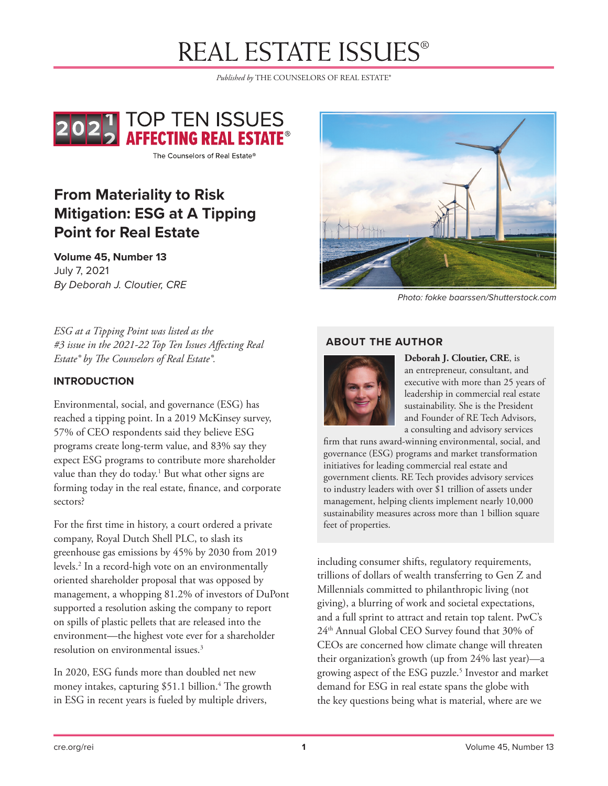*Published by* THE COUNSELORS OF REAL ESTATE®



The Counselors of Real Estate®

# **From Materiality to Risk Mitigation: ESG at A Tipping Point for Real Estate**

**Volume 45, Number 13** July 7, 2021 *By Deborah J. Cloutier, CRE* 



*Photo: fokke baarssen/Shutterstock.com*

*ESG at a Tipping Point was listed as the #3 issue in the 2021-22 Top Ten Issues Affecting Real Estate® by The Counselors of Real Estate®.*

#### **INTRODUCTION**

Environmental, social, and governance (ESG) has reached a tipping point. In a 2019 McKinsey survey, 57% of CEO respondents said they believe ESG programs create long-term value, and 83% say they expect ESG programs to contribute more shareholder value than they do today.<sup>1</sup> But what other signs are forming today in the real estate, finance, and corporate sectors?

For the first time in history, a court ordered a private company, Royal Dutch Shell PLC, to slash its greenhouse gas emissions by 45% by 2030 from 2019 levels.2 In a record-high vote on an environmentally oriented shareholder proposal that was opposed by management, a whopping 81.2% of investors of DuPont supported a resolution asking the company to report on spills of plastic pellets that are released into the environment—the highest vote ever for a shareholder resolution on environmental issues.3

In 2020, ESG funds more than doubled net new money intakes, capturing \$51.1 billion.<sup>4</sup> The growth in ESG in recent years is fueled by multiple drivers,

#### **ABOUT THE AUTHOR**



**Deborah J. Cloutier, CRE**, is an entrepreneur, consultant, and executive with more than 25 years of leadership in commercial real estate sustainability. She is the President and Founder of RE Tech Advisors, a consulting and advisory services

firm that runs award-winning environmental, social, and governance (ESG) programs and market transformation initiatives for leading commercial real estate and government clients. RE Tech provides advisory services to industry leaders with over \$1 trillion of assets under management, helping clients implement nearly 10,000 sustainability measures across more than 1 billion square feet of properties.

including consumer shifts, regulatory requirements, trillions of dollars of wealth transferring to Gen Z and Millennials committed to philanthropic living (not giving), a blurring of work and societal expectations, and a full sprint to attract and retain top talent. PwC's 24th Annual Global CEO Survey found that 30% of CEOs are concerned how climate change will threaten their organization's growth (up from 24% last year)—a growing aspect of the ESG puzzle.<sup>5</sup> Investor and market demand for ESG in real estate spans the globe with the key questions being what is material, where are we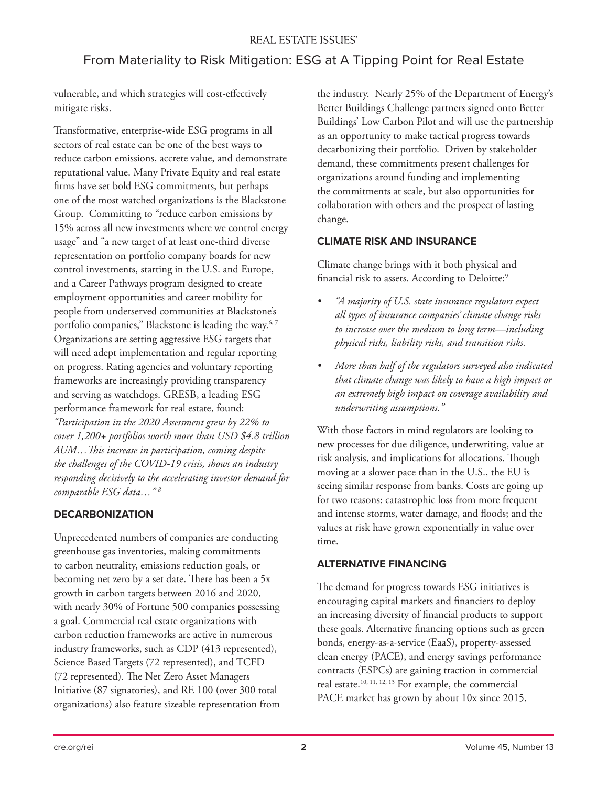## From Materiality to Risk Mitigation: ESG at A Tipping Point for Real Estate

vulnerable, and which strategies will cost-effectively mitigate risks.

Transformative, enterprise-wide ESG programs in all sectors of real estate can be one of the best ways to reduce carbon emissions, accrete value, and demonstrate reputational value. Many Private Equity and real estate firms have set bold ESG commitments, but perhaps one of the most watched organizations is the Blackstone Group. Committing to "reduce carbon emissions by 15% across all new investments where we control energy usage" and "a new target of at least one-third diverse representation on portfolio company boards for new control investments, starting in the U.S. and Europe, and a Career Pathways program designed to create employment opportunities and career mobility for people from underserved communities at Blackstone's portfolio companies," Blackstone is leading the way.<sup>6, 7</sup> Organizations are setting aggressive ESG targets that will need adept implementation and regular reporting on progress. Rating agencies and voluntary reporting frameworks are increasingly providing transparency and serving as watchdogs. GRESB, a leading ESG performance framework for real estate, found: *"Participation in the 2020 Assessment grew by 22% to cover 1,200+ portfolios worth more than USD \$4.8 trillion AUM…This increase in participation, coming despite the challenges of the COVID-19 crisis, shows an industry responding decisively to the accelerating investor demand for comparable ESG data…" 8*

### **DECARBONIZATION**

Unprecedented numbers of companies are conducting greenhouse gas inventories, making commitments to carbon neutrality, emissions reduction goals, or becoming net zero by a set date. There has been a 5x growth in carbon targets between 2016 and 2020, with nearly 30% of Fortune 500 companies possessing a goal. Commercial real estate organizations with carbon reduction frameworks are active in numerous industry frameworks, such as CDP (413 represented), Science Based Targets (72 represented), and TCFD (72 represented). The Net Zero Asset Managers Initiative (87 signatories), and RE 100 (over 300 total organizations) also feature sizeable representation from

the industry. Nearly 25% of the Department of Energy's Better Buildings Challenge partners signed onto Better Buildings' Low Carbon Pilot and will use the partnership as an opportunity to make tactical progress towards decarbonizing their portfolio. Driven by stakeholder demand, these commitments present challenges for organizations around funding and implementing the commitments at scale, but also opportunities for collaboration with others and the prospect of lasting change.

#### **CLIMATE RISK AND INSURANCE**

Climate change brings with it both physical and financial risk to assets. According to Deloitte:<sup>9</sup>

- *• "A majority of U.S. state insurance regulators expect all types of insurance companies' climate change risks to increase over the medium to long term—including physical risks, liability risks, and transition risks.*
- *• More than half of the regulators surveyed also indicated that climate change was likely to have a high impact or an extremely high impact on coverage availability and underwriting assumptions."*

With those factors in mind regulators are looking to new processes for due diligence, underwriting, value at risk analysis, and implications for allocations. Though moving at a slower pace than in the U.S., the EU is seeing similar response from banks. Costs are going up for two reasons: catastrophic loss from more frequent and intense storms, water damage, and floods; and the values at risk have grown exponentially in value over time.

### **ALTERNATIVE FINANCING**

The demand for progress towards ESG initiatives is encouraging capital markets and financiers to deploy an increasing diversity of financial products to support these goals. Alternative financing options such as green bonds, energy-as-a-service (EaaS), property-assessed clean energy (PACE), and energy savings performance contracts (ESPCs) are gaining traction in commercial real estate.10, 11, 12, 13 For example, the commercial PACE market has grown by about 10x since 2015,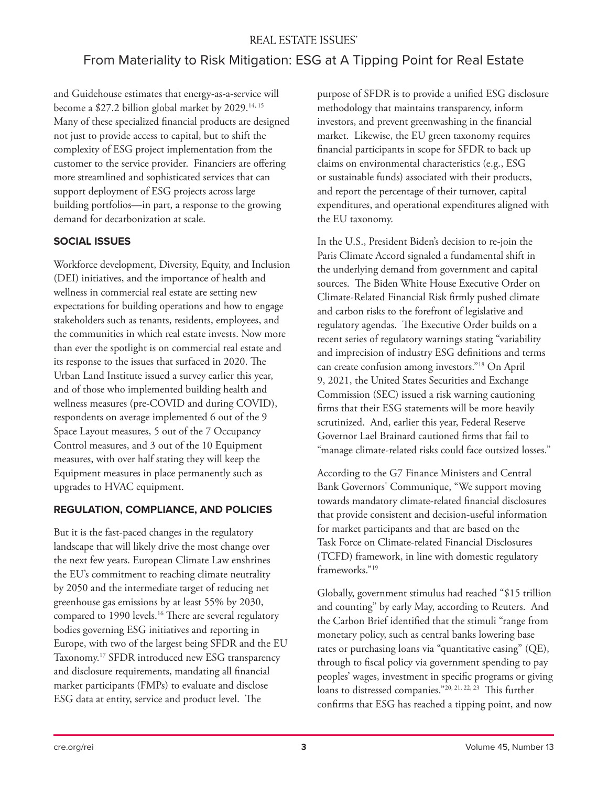# From Materiality to Risk Mitigation: ESG at A Tipping Point for Real Estate

and Guidehouse estimates that energy-as-a-service will become a \$27.2 billion global market by 2029.<sup>14, 15</sup> Many of these specialized financial products are designed not just to provide access to capital, but to shift the complexity of ESG project implementation from the customer to the service provider. Financiers are offering more streamlined and sophisticated services that can support deployment of ESG projects across large building portfolios—in part, a response to the growing demand for decarbonization at scale.

#### **SOCIAL ISSUES**

Workforce development, Diversity, Equity, and Inclusion (DEI) initiatives, and the importance of health and wellness in commercial real estate are setting new expectations for building operations and how to engage stakeholders such as tenants, residents, employees, and the communities in which real estate invests. Now more than ever the spotlight is on commercial real estate and its response to the issues that surfaced in 2020. The Urban Land Institute issued a survey earlier this year, and of those who implemented building health and wellness measures (pre-COVID and during COVID), respondents on average implemented 6 out of the 9 Space Layout measures, 5 out of the 7 Occupancy Control measures, and 3 out of the 10 Equipment measures, with over half stating they will keep the Equipment measures in place permanently such as upgrades to HVAC equipment.

#### **REGULATION, COMPLIANCE, AND POLICIES**

But it is the fast-paced changes in the regulatory landscape that will likely drive the most change over the next few years. European Climate Law enshrines the EU's commitment to reaching climate neutrality by 2050 and the intermediate target of reducing net greenhouse gas emissions by at least 55% by 2030, compared to 1990 levels.<sup>16</sup> There are several regulatory bodies governing ESG initiatives and reporting in Europe, with two of the largest being SFDR and the EU Taxonomy.17 SFDR introduced new ESG transparency and disclosure requirements, mandating all financial market participants (FMPs) to evaluate and disclose ESG data at entity, service and product level. The

purpose of SFDR is to provide a unified ESG disclosure methodology that maintains transparency, inform investors, and prevent greenwashing in the financial market. Likewise, the EU green taxonomy requires financial participants in scope for SFDR to back up claims on environmental characteristics (e.g., ESG or sustainable funds) associated with their products, and report the percentage of their turnover, capital expenditures, and operational expenditures aligned with the EU taxonomy.

In the U.S., President Biden's decision to re-join the Paris Climate Accord signaled a fundamental shift in the underlying demand from government and capital sources. The Biden White House Executive Order on Climate-Related Financial Risk firmly pushed climate and carbon risks to the forefront of legislative and regulatory agendas. The Executive Order builds on a recent series of regulatory warnings stating "variability and imprecision of industry ESG definitions and terms can create confusion among investors."18 On April 9, 2021, the United States Securities and Exchange Commission (SEC) issued a risk warning cautioning firms that their ESG statements will be more heavily scrutinized. And, earlier this year, Federal Reserve Governor Lael Brainard cautioned firms that fail to "manage climate-related risks could face outsized losses."

According to the G7 Finance Ministers and Central Bank Governors' Communique, "We support moving towards mandatory climate-related financial disclosures that provide consistent and decision-useful information for market participants and that are based on the Task Force on Climate-related Financial Disclosures (TCFD) framework, in line with domestic regulatory frameworks."19

Globally, government stimulus had reached "\$15 trillion and counting" by early May, according to Reuters. And the Carbon Brief identified that the stimuli "range from monetary policy, such as central banks lowering base rates or purchasing loans via "quantitative easing" (QE), through to fiscal policy via government spending to pay peoples' wages, investment in specific programs or giving loans to distressed companies."20, 21, 22, 23 This further confirms that ESG has reached a tipping point, and now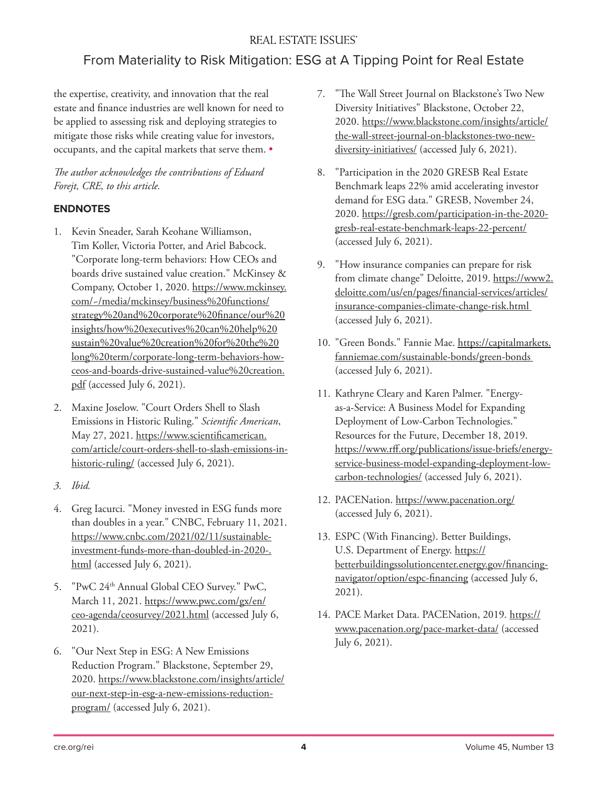## From Materiality to Risk Mitigation: ESG at A Tipping Point for Real Estate

the expertise, creativity, and innovation that the real estate and finance industries are well known for need to be applied to assessing risk and deploying strategies to mitigate those risks while creating value for investors, occupants, and the capital markets that serve them. •

#### *The author acknowledges the contributions of Eduard Forejt, CRE, to this article.*

#### **ENDNOTES**

- 1. Kevin Sneader, Sarah Keohane Williamson, Tim Koller, Victoria Potter, and Ariel Babcock. "Corporate long-term behaviors: How CEOs and boards drive sustained value creation." McKinsey & Company, October 1, 2020. https://www.mckinsey. com/~/media/mckinsey/business%20functions/ strategy%20and%20corporate%20finance/our%20 insights/how%20executives%20can%20help%20 sustain%20value%20creation%20for%20the%20 long%20term/corporate-long-term-behaviors-howceos-and-boards-drive-sustained-value%20creation. pdf (accessed July 6, 2021).
- 2. Maxine Joselow. "Court Orders Shell to Slash Emissions in Historic Ruling." *Scientific American*, May 27, 2021. https://www.scientificamerican. com/article/court-orders-shell-to-slash-emissions-inhistoric-ruling/ (accessed July 6, 2021).
- *3. Ibid.*
- 4. Greg Iacurci. "Money invested in ESG funds more than doubles in a year." CNBC, February 11, 2021. https://www.cnbc.com/2021/02/11/sustainableinvestment-funds-more-than-doubled-in-2020-. html (accessed July 6, 2021).
- 5. "PwC 24th Annual Global CEO Survey." PwC, March 11, 2021. https://www.pwc.com/gx/en/ ceo-agenda/ceosurvey/2021.html (accessed July 6, 2021).
- 6. "Our Next Step in ESG: A New Emissions Reduction Program." Blackstone, September 29, 2020. https://www.blackstone.com/insights/article/ our-next-step-in-esg-a-new-emissions-reductionprogram/ (accessed July 6, 2021).
- 7. "The Wall Street Journal on Blackstone's Two New Diversity Initiatives" Blackstone, October 22, 2020. https://www.blackstone.com/insights/article/ the-wall-street-journal-on-blackstones-two-newdiversity-initiatives/ (accessed July 6, 2021).
- 8. "Participation in the 2020 GRESB Real Estate Benchmark leaps 22% amid accelerating investor demand for ESG data." GRESB, November 24, 2020. https://gresb.com/participation-in-the-2020 gresb-real-estate-benchmark-leaps-22-percent/ (accessed July 6, 2021).
- 9. "How insurance companies can prepare for risk from climate change" Deloitte, 2019. https://www2. deloitte.com/us/en/pages/financial-services/articles/ insurance-companies-climate-change-risk.html (accessed July 6, 2021).
- 10. "Green Bonds." Fannie Mae. https://capitalmarkets. fanniemae.com/sustainable-bonds/green-bonds (accessed July 6, 2021).
- 11. Kathryne Cleary and Karen Palmer. "Energyas-a-Service: A Business Model for Expanding Deployment of Low-Carbon Technologies." Resources for the Future, December 18, 2019. https://www.rff.org/publications/issue-briefs/energyservice-business-model-expanding-deployment-lowcarbon-technologies/ (accessed July 6, 2021).
- 12. PACENation. https://www.pacenation.org/ (accessed July 6, 2021).
- 13. ESPC (With Financing). Better Buildings, U.S. Department of Energy. https:// betterbuildingssolutioncenter.energy.gov/financingnavigator/option/espc-financing (accessed July 6, 2021).
- 14. PACE Market Data. PACENation, 2019. https:// www.pacenation.org/pace-market-data/ (accessed July 6, 2021).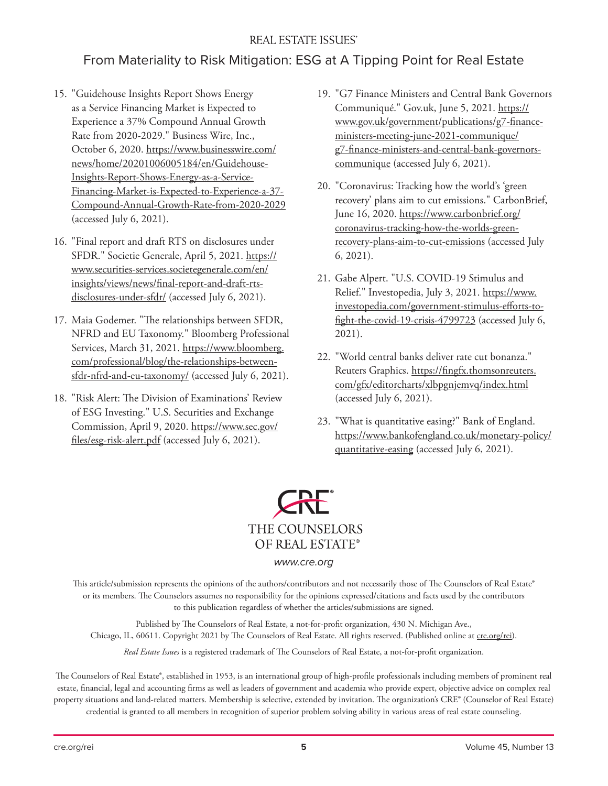## From Materiality to Risk Mitigation: ESG at A Tipping Point for Real Estate

- 15. "Guidehouse Insights Report Shows Energy as a Service Financing Market is Expected to Experience a 37% Compound Annual Growth Rate from 2020-2029." Business Wire, Inc., October 6, 2020. https://www.businesswire.com/ news/home/20201006005184/en/Guidehouse-Insights-Report-Shows-Energy-as-a-Service-Financing-Market-is-Expected-to-Experience-a-37- Compound-Annual-Growth-Rate-from-2020-2029 (accessed July 6, 2021).
- 16. "Final report and draft RTS on disclosures under SFDR." Societie Generale, April 5, 2021. https:// www.securities-services.societegenerale.com/en/ insights/views/news/final-report-and-draft-rtsdisclosures-under-sfdr/ (accessed July 6, 2021).
- 17. Maia Godemer. "The relationships between SFDR, NFRD and EU Taxonomy." Bloomberg Professional Services, March 31, 2021. https://www.bloomberg. com/professional/blog/the-relationships-betweensfdr-nfrd-and-eu-taxonomy/ (accessed July 6, 2021).
- 18. "Risk Alert: The Division of Examinations' Review of ESG Investing." U.S. Securities and Exchange Commission, April 9, 2020. https://www.sec.gov/ files/esg-risk-alert.pdf (accessed July 6, 2021).
- 19. "G7 Finance Ministers and Central Bank Governors Communiqué." Gov.uk, June 5, 2021. https:// www.gov.uk/government/publications/g7-financeministers-meeting-june-2021-communique/ g7-finance-ministers-and-central-bank-governorscommunique (accessed July 6, 2021).
- 20. "Coronavirus: Tracking how the world's 'green recovery' plans aim to cut emissions." CarbonBrief, June 16, 2020. https://www.carbonbrief.org/ coronavirus-tracking-how-the-worlds-greenrecovery-plans-aim-to-cut-emissions (accessed July 6, 2021).
- 21. Gabe Alpert. "U.S. COVID-19 Stimulus and Relief." Investopedia, July 3, 2021. https://www. investopedia.com/government-stimulus-efforts-tofight-the-covid-19-crisis-4799723 (accessed July 6, 2021).
- 22. "World central banks deliver rate cut bonanza." Reuters Graphics. https://fingfx.thomsonreuters. com/gfx/editorcharts/xlbpgnjemvq/index.html (accessed July 6, 2021).
- 23. "What is quantitative easing?" Bank of England. https://www.bankofengland.co.uk/monetary-policy/ quantitative-easing (accessed July 6, 2021).



#### *www.cre.org*

This article/submission represents the opinions of the authors/contributors and not necessarily those of The Counselors of Real Estate® or its members. The Counselors assumes no responsibility for the opinions expressed/citations and facts used by the contributors to this publication regardless of whether the articles/submissions are signed.

Published by The Counselors of Real Estate, a not-for-profit organization, 430 N. Michigan Ave., Chicago, IL, 60611. Copyright 2021 by The Counselors of Real Estate. All rights reserved. (Published online at cre.org/rei).

*Real Estate Issues* is a registered trademark of The Counselors of Real Estate, a not-for-profit organization.

The Counselors of Real Estate®, established in 1953, is an international group of high-profile professionals including members of prominent real estate, financial, legal and accounting firms as well as leaders of government and academia who provide expert, objective advice on complex real property situations and land-related matters. Membership is selective, extended by invitation. The organization's CRE® (Counselor of Real Estate) credential is granted to all members in recognition of superior problem solving ability in various areas of real estate counseling.